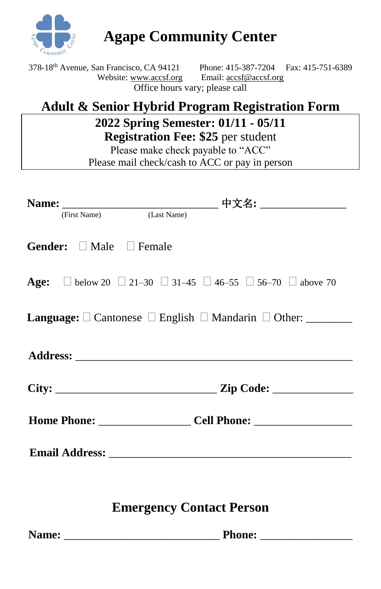

**Agape Community Center**

| 378-18 <sup>th</sup> Avenue, San Francisco, CA 94121 | Phone: 415-387-7204 Fax: 415-751-6389 |  |  |  |
|------------------------------------------------------|---------------------------------------|--|--|--|
| Website: www.accsf.org                               | Email: accsf@accsf.org                |  |  |  |
| Office hours vary; please call                       |                                       |  |  |  |

## **Adult & Senior Hybrid Program Registration Form**

## **2022 Spring Semester: 01/11 - 05/11 Registration Fee: \$25** per student

Please make check payable to "ACC" Please mail check/cash to ACC or pay in person

| (First Name) (Last Name)                 |                                                                                                 |
|------------------------------------------|-------------------------------------------------------------------------------------------------|
| <b>Gender:</b> $\Box$ Male $\Box$ Female |                                                                                                 |
|                                          | <b>Age:</b> $\Box$ below 20 $\Box$ 21-30 $\Box$ 31-45 $\Box$ 46-55 $\Box$ 56-70 $\Box$ above 70 |
|                                          | <b>Language:</b> $\square$ Cantonese $\square$ English $\square$ Mandarin $\square$ Other:      |
|                                          |                                                                                                 |
|                                          |                                                                                                 |
|                                          |                                                                                                 |
|                                          |                                                                                                 |
|                                          |                                                                                                 |

## **Emergency Contact Person**

**Name:** \_\_\_\_\_\_\_\_\_\_\_\_\_\_\_\_\_\_\_\_\_\_\_\_\_\_\_ **Phone:** \_\_\_\_\_\_\_\_\_\_\_\_\_\_\_\_